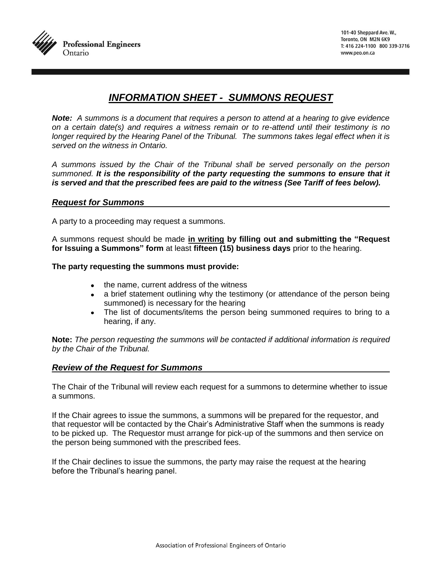

# *INFORMATION SHEET - SUMMONS REQUEST*

*Note: A summons is a document that requires a person to attend at a hearing to give evidence on a certain date(s) and requires a witness remain or to re-attend until their testimony is no longer required by the Hearing Panel of the Tribunal. The summons takes legal effect when it is served on the witness in Ontario.* 

*A summons issued by the Chair of the Tribunal shall be served personally on the person summoned. It is the responsibility of the party requesting the summons to ensure that it is served and that the prescribed fees are paid to the witness (See Tariff of fees below).*

## *Request for Summons*

A party to a proceeding may request a summons.

A summons request should be made **in writing by filling out and submitting the "Request for Issuing a Summons" form** at least **fifteen (15) business days** prior to the hearing.

**The party requesting the summons must provide:**

- the name, current address of the witness
- a brief statement outlining why the testimony (or attendance of the person being summoned) is necessary for the hearing
- The list of documents/items the person being summoned requires to bring to a hearing, if any.

**Note:** *The person requesting the summons will be contacted if additional information is required by the Chair of the Tribunal.*

#### *Review of the Request for Summons*

The Chair of the Tribunal will review each request for a summons to determine whether to issue a summons.

If the Chair agrees to issue the summons, a summons will be prepared for the requestor, and that requestor will be contacted by the Chair's Administrative Staff when the summons is ready to be picked up. The Requestor must arrange for pick-up of the summons and then service on the person being summoned with the prescribed fees.

If the Chair declines to issue the summons, the party may raise the request at the hearing before the Tribunal's hearing panel.